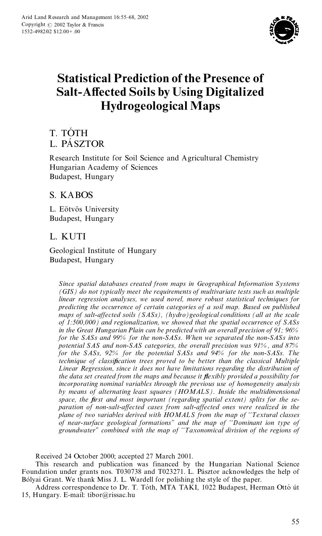

# **Statistical Prediction of the Presence of Salt-Affected Soils by Using Digitalized Hydrogeological Maps**

# T. TÓTH L. PÁSZTOR

Research Institute for Soil Science and Agricultural Chemistry Hungarian Academy of Sciences Budapest, Hungary

## S. KABOS

L. Eötvös University Budapest, Hungary

## L. KUTI

Geological Institute of Hungary Budapest, Hungary

Since spatial databases created from maps in Geographical Information Systems (GIS) do not typically meet the requirements of multivariate tests such as multiple linear regression analyses, we used novel, more robust statistical techniques for predicting the occurrence of certain categories of a soil map. Based on published maps of salt-affected soils (SASs), (hydro)geological conditions (all at the scale of 1:500,000) and regionalization, we showed that the spatial occurrence of  $SASS$ in the Great Hungarian Plain can be predicted with an overall precision of 91;  $96\%$ for the SASs and 99% for the non-SASs. When we separated the non-SASs into potential SAS and non-SAS categories, the overall precision was 91%, and 87% for the SASs, 92% for the potential SASs and 94% for the non-SASs. The technique of classification trees proved to be better than the classical Multiple Linear Regression, since it does not have limitations regarding the distribution of the data set created from the maps and because it flexibly provided a possibility for incorporating nominal variables through the previous use of homogeneity analysis by means of alternating least squares (HOMALS). Inside the multidimensional space, the first and most important (regarding spatial extent) splits for the separation of non-salt-affected cases from salt-affected ones were realized in the plane of two variables derived with HOMALS from the map of "Textural classes of near-surface geological formations" and the map of "Dominant ion type of groundwater" combined with the map of "Taxonomical division of the regions of

Received 24 October 2000; accepted 27 March 2001.

This research and publication was financed by the Hungarian National Science<br>Foundation under grants nos. T030738 and T023271. L. Pásztor acknowledges the help of Bólyai Grant. We thank Miss J. L. Wardell for polishing the style of the paper.

Address correspondence to Dr. T. Tóth, MTA TAKI, 1022 Budapest, Herman Ottó út 15, Hungary. E-mail: tibor@rissac.hu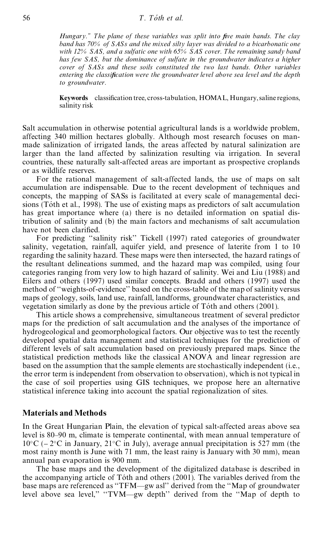*Hungary.'' The plane of these variables was split into ®ve main bands. The clay band has 70% of SASs and the mixed silty layer was divided to a bicarbonatic one with 12% SAS, and a sulfatic one with 65% SAS cover. The remaining sandy band has few SAS, but the dominance of sulfate in the groundwater indicates a higher cover of SASs and these soils constituted the two last bands. Other variables entering the classi®cation were the groundwater level above sea level and the depth to groundwater.*

**Keywords** classification tree, cross-tabulation, HOMAL, Hungary, saline regions, salinity risk

Salt accumulation in otherwise potential agricultural lands is a worldwide problem, affecting 340 million hectares globally. Although most research focuses on manmade salinization of irrigated lands, the areas affected by natural salinization are larger than the land affected by salinization resulting via irrigation. In several countries, these naturally salt-affected areas are important as prospective croplands or as wildlife reserves.

For the rational management of salt-affected lands, the use of maps on salt accumulation are indispensable. Due to the recent development of techniques and concepts, the mapping of SASs is facilitated at every scale of managemental decisions (Toth et al., 1998). The use of existing maps as predictors of salt accumulation has great importance where (a) there is no detailed information on spatial distribution of salinity and (b) the main factors and mechanisms of salt accumulation have not been clarified.

For predicting "salinity risk" Tickell (1997) rated categories of groundwater salinity, vegetation, rainfall, aquifer yield, and presence of laterite from 1 to 10 regarding the salinity hazard. These maps were then intersected, the hazard ratings of the resultant delineations summed, and the hazard map was compiled, using four categories ranging from very low to high hazard of salinity. Wei and Liu (1988) and Eilers and others (1997) used similar concepts. Bradd and others (1997) used the method of "weights-of-evidence" based on the cross-table of the map of salinity versus maps of geology, soils, land use, rainfall, landforms, groundwater characteristics, and vegetation similarly as done by the previous article of Tóth and others (2001).

This article shows a comprehensive, simultaneous treatment of several predictor maps for the prediction of salt accumulation and the analyses of the importance of hydrogeological and geomorphological factors. Our objective was to test the recently developed spatial data management and statistical techniques for the prediction of different levels of salt accumulation based on previously prepared maps. Since the statistical prediction methods like the classical ANOVA and linear regression are based on the assumption that the sample elements are stochastically independent (i.e., the error term is independent from observation to observation), which is not typical in the case of soil properties using GIS techniques, we propose here an alternative statistical inference taking into account the spatial regionalization of sites.

#### **Materials and Methods**

In the Great Hungarian Plain, the elevation of typical salt-affected areas above sea level is 80–90 m, climate is temperate continental, with mean annual temperature of  $10^{\circ}$ C ( $-2^{\circ}$ C in January, 21<sup>°</sup>C in July), average annual precipitation is 527 mm (the most rainy month is June with 71 mm, the least rainy is January with 30 mm), mean annual pan evaporation is 900 mm.

The base maps and the development of the digitalized database is described in the accompanying article of Tóth and others  $(2001)$ . The variables derived from the base maps are referenced as "TFM—gw asl" derived from the "Map of groundwater level above sea level," "TVM—gw depth" derived from the "Map of depth to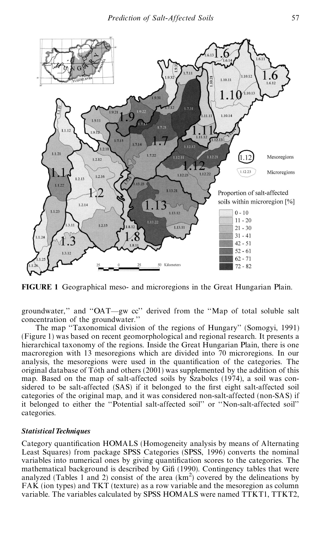

**FIGURE 1** Geographical meso- and microregions in the Great Hungarian Plain.

groundwater," and "OAT—gw cc" derived from the "Map of total soluble salt concentration of the groundwater."

The map "Taxonomical division of the regions of Hungary" (Somogyi, 1991) (Figure 1) was based on recent geomorphological and regional research. It presents a hierarchical taxonomy of the regions. Inside the Great Hungarian Plain, there is one macroregion with 13 mesoregions which are divided into 70 microregions. In our analysis, the mesoregions were used in the quantification of the categories. The original database of Toth and others  $(2001)$  was supplemented by the addition of this map. Based on the map of salt-affected soils by Szabolcs (1974), a soil was considered to be salt-affected (SAS) if it belonged to the first eight salt-affected soil categories of the original map, and it was considered non-salt-affected (non-SAS) if it belonged to either the "Potential salt-affected soil" or "Non-salt-affected soil" categories.

#### *Statistical Techniques*

Category quantification HOMALS (Homogeneity analysis by means of Alternating Least Squares) from package SPSS Categories (SPSS, 1996) converts the nominal variables into numerical ones by giving quantification scores to the categories. The mathematical background is described by Gifi (1990). Contingency tables that were analyzed (Tables 1 and 2) consist of the area  $(km<sup>2</sup>)$  covered by the delineations by FAK (ion types) and TKT (texture) as a row variable and the mesoregion as column variable. The variables calculated by SPSS HOMALS were named TTKT1, TTKT2,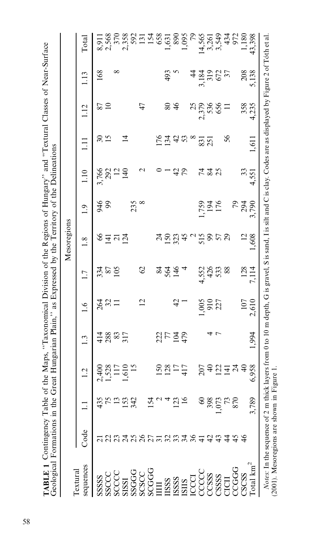**TABLE 1** Contingency Table of the Maps, "Taxonomical Division of the Regions of Hungary" and "Textural Classes of Near-Surface Geological Formations in the Great Hungarian Plain," as Expressed by the Territory of the Deli

| Textural                                                                                                                                                                                                                                                                                                                                                                                                                                                    |               |                 |                                  |                   |                     |                           | Mesoregions            |                     |                            |                          |                      |                          |                                   |
|-------------------------------------------------------------------------------------------------------------------------------------------------------------------------------------------------------------------------------------------------------------------------------------------------------------------------------------------------------------------------------------------------------------------------------------------------------------|---------------|-----------------|----------------------------------|-------------------|---------------------|---------------------------|------------------------|---------------------|----------------------------|--------------------------|----------------------|--------------------------|-----------------------------------|
| sequences                                                                                                                                                                                                                                                                                                                                                                                                                                                   | Code          |                 | 1.2                              | 1.3               | 1.6                 | 1.7                       | 1.8                    | 1.9                 | 1.10                       | Ξ                        | 1.12                 | 1.13                     | Total                             |
| SSSSSS                                                                                                                                                                                                                                                                                                                                                                                                                                                      |               | 435             | 400                              |                   |                     |                           |                        |                     |                            | $\overline{\mathcal{E}}$ |                      | 168                      | 8,911                             |
|                                                                                                                                                                                                                                                                                                                                                                                                                                                             |               |                 |                                  | 414<br>288<br>317 | 2821                | $334$<br>$87$<br>$105$    | $\S$ $\Xi$ $\Xi$ $\Xi$ | 946<br>99           | 3,766<br>292<br>140<br>140 | 15                       | $\frac{87}{10}$      |                          | 2,568                             |
| SSCCC<br>SCCCC                                                                                                                                                                                                                                                                                                                                                                                                                                              |               |                 |                                  |                   |                     |                           |                        |                     |                            |                          |                      | ∞                        |                                   |
| SISSI                                                                                                                                                                                                                                                                                                                                                                                                                                                       |               |                 | $528$<br>$-17$<br>$-15$<br>$-15$ |                   |                     |                           |                        |                     |                            | $\vec{4}$                |                      |                          | 370<br>2358<br>2921<br>154<br>565 |
|                                                                                                                                                                                                                                                                                                                                                                                                                                                             |               | 342             |                                  |                   |                     |                           |                        | $235$ $8$           |                            |                          |                      |                          |                                   |
|                                                                                                                                                                                                                                                                                                                                                                                                                                                             |               |                 |                                  |                   | 12                  | $\mathcal{O}$             |                        |                     |                            |                          | 47                   |                          |                                   |
|                                                                                                                                                                                                                                                                                                                                                                                                                                                             |               |                 |                                  |                   |                     |                           |                        |                     |                            |                          |                      |                          |                                   |
| $\begin{array}{l} {\bf SGGG} \\ {\bf SCGC} \\ {\bf SCGG} \\ {\bf HII} \end{array}$                                                                                                                                                                                                                                                                                                                                                                          |               |                 |                                  |                   |                     |                           |                        |                     |                            |                          |                      |                          |                                   |
| $\begin{array}{l} \text{HSSS} \\ \text{SSSSS} \\ \text{ESC} \\ \text{LCC} \\ \text{CCC} \\ \text{CCS} \\ \text{SSS} \\ \text{CCC} \\ \text{CCS} \\ \text{SCS} \\ \text{CCS} \\ \text{CCS} \\ \text{CCS} \\ \text{CCS} \\ \text{CCS} \\ \text{CCS} \\ \text{CCS} \\ \text{CCS} \\ \text{CCS} \\ \text{CCS} \\ \text{CCS} \\ \text{CCS} \\ \text{CCS} \\ \text{CCS} \\ \text{CCS} \\ \text{CCS} \\ \text{CCS} \\ \text{CCS} \\ \text{CCS} \\ \text{CCS} \\ \$ |               |                 | $\frac{150}{128}$                | 2774              |                     | 227                       | $3.584$ $^{\circ}$     |                     |                            | 5342                     | $80\,$               | 493                      | $1,631$<br>890                    |
|                                                                                                                                                                                                                                                                                                                                                                                                                                                             | 234           | $\overline{23}$ |                                  |                   | 42                  |                           |                        |                     | 42                         |                          | $\frac{4}{6}$        |                          |                                   |
|                                                                                                                                                                                                                                                                                                                                                                                                                                                             |               |                 |                                  |                   |                     |                           |                        |                     |                            |                          |                      |                          | 1,095                             |
|                                                                                                                                                                                                                                                                                                                                                                                                                                                             | $rac{6}{41}$  |                 |                                  |                   |                     |                           |                        |                     |                            | $\infty$                 |                      |                          | $\mathcal{E}_{\mathcal{L}}$       |
|                                                                                                                                                                                                                                                                                                                                                                                                                                                             |               | 3               | 207                              |                   |                     |                           | 5858                   |                     |                            | 83 <sub>1</sub>          | 2379<br>2.379<br>656 |                          |                                   |
|                                                                                                                                                                                                                                                                                                                                                                                                                                                             | $\frac{5}{4}$ | 398             |                                  |                   | 1,005<br>910<br>227 |                           |                        | 1,759<br>194<br>176 | 4 2 2<br>4 4 2             |                          |                      |                          |                                   |
|                                                                                                                                                                                                                                                                                                                                                                                                                                                             |               | 1,073           | 32728                            |                   |                     | 4,552<br>426<br>533<br>88 |                        |                     |                            |                          |                      | 3,184<br>319<br>672      | $14,565$<br>$3,261$<br>$3,549$    |
|                                                                                                                                                                                                                                                                                                                                                                                                                                                             | 4             |                 |                                  |                   |                     |                           |                        |                     |                            | 56                       | $\equiv$             | $\overline{\mathcal{E}}$ |                                   |
| CCGGG<br>CSCSS                                                                                                                                                                                                                                                                                                                                                                                                                                              | 45            | 870             |                                  |                   |                     |                           |                        |                     |                            |                          |                      |                          | 434<br>972                        |
|                                                                                                                                                                                                                                                                                                                                                                                                                                                             |               |                 |                                  |                   | 107                 |                           |                        |                     | 33                         |                          | 358                  | 208                      | 1,180                             |
| $\rm Total\ km^2$                                                                                                                                                                                                                                                                                                                                                                                                                                           |               | 3,789           | 958                              | 1,994             | 2,610               | 128<br>7,114              | 1,608                  | 79<br>294<br>3,790  | 4,551                      | 1,611                    | 4,235                | 5,138                    | 43,398                            |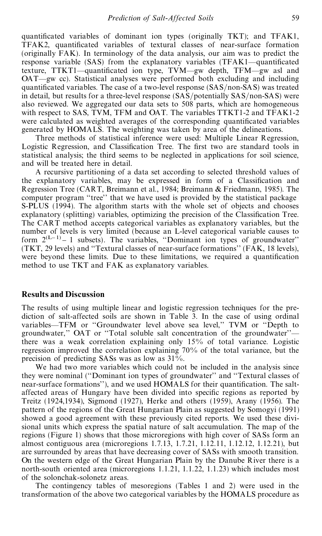quantificated variables of dominant ion types (originally TKT); and TFAK1, TFAK2, quantificated variables of textural classes of near-surface formation (originally FAK). In terminology of the data analysis, our aim was to predict the response variable  $(SAS)$  from the explanatory variables  $(TFAK1$ —quantificated texture,  $TTKT1$ —quantificated ion type,  $TVM$ —gw depth,  $TFM$ —gw asl and OAT—gw cc). Statistical analyses were performed both excluding and including quantificated variables. The case of a two-level response  $(SAS/non-SAS)$  was treated in detail, but results for a three-level response  $(SAS/potentially SAS/non-SAS)$  were also reviewed. We aggregated our data sets to 508 parts, which are homogeneous with respect to SAS, TVM, TFM and OAT. The variables TTKT1-2 and TFAK1-2 were calculated as weighted averages of the corresponding quantificated variables generated by HOMALS. The weighting was taken by area of the delineations.

Three methods of statistical inference were used: Multiple Linear Regression, Logistic Regression, and Classification Tree. The first two are standard tools in statistical analysis; the third seems to be neglected in applications for soil science, and will be treated here in detail.

A recursive partitioning of a data set according to selected threshold values of the explanatory variables, may be expressed in form of a Classification and Regression Tree (CART, Breimann et al., 1984; Breimann & Friedmann, 1985). The computer program "tree" that we have used is provided by the statistical package S-PLUS (1994). The algorithm starts with the whole set of objects and chooses explanatory (splitting) variables, optimizing the precision of the Classification Tree. The CART method accepts categorical variables as explanatory variables, but the number of levels is very limited (because an L-level categorical variable causes to form  $2^{(L-1)} - 1$  subsets). The variables, "Dominant ion types of groundwater" (TKT, 29 levels) and "Textural classes of near-surface formations" (FAK,  $18$  levels), were beyond these limits. Due to these limitations, we required a quantification method to use TKT and FAK as explanatory variables.

#### **Results and Discussion**

The results of using multiple linear and logistic regression techniques for the prediction of salt-affected soils are shown in Table 3. In the case of using ordinal variables—TFM or "Groundwater level above sea level," TVM or "Depth to groundwater," OAT or "Total soluble salt concentration of the groundwater"there was a weak correlation explaining only 15% of total variance. Logistic regression improved the correlation explaining 70% of the total variance, but the precision of predicting SASs was as low as 31%.

We had two more variables which could not be included in the analysis since they were nominal ("Dominant ion types of groundwater" and "Textural classes of near-surface formations''), and we used HOMALS for their quantification. The saltaffected areas of Hungary have been divided into specific regions as reported by Treitz (1924,1934), Sigmond (1927), Herke and others (1959), Arany (1956). The pattern of the regions of the Great Hungarian Plain as suggested by Somogyi (1991) showed a good agreement with these previously cited reports. We used these divisional units which express the spatial nature of salt accumulation. The map of the regions (Figure 1) shows that those microregions with high cover of SASs form an almost contiguous area (microregions 1.7.13, 1.7.21, 1.12.11, 1.12.12, 1.12.21), but are surrounded by areas that have decreasing cover of SASs with smooth transition. On the western edge of the Great Hungarian Plain by the Danube River there is a north-south oriented area (microregions 1.1.21, 1.1.22, 1.1.23) which includes most of the solonchak-solonetz areas.

The contingency tables of mesoregions (Tables 1 and 2) were used in the transformation of the above two categorical variables by the HOMALS procedure as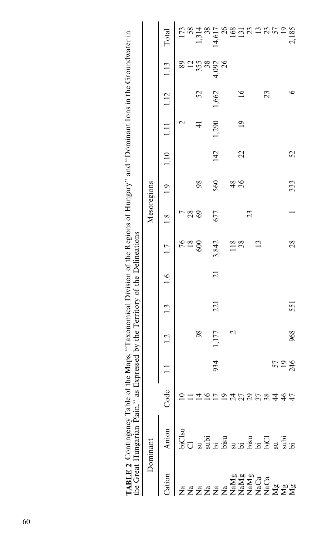| ABLE 2                                                  | he Great Hungarian Plain," as Expressed by the Territory of the Delineations<br>Contingency lable of the $M$ |                 |                 |             |     |                | raps, "Taxonomical Division of the Regions of Hungary" and "Dominant lons in the Groundwater in |     |               |      |                                             |               |                  |                                                                                                                                                                                                                                                                                                                                                                          |
|---------------------------------------------------------|--------------------------------------------------------------------------------------------------------------|-----------------|-----------------|-------------|-----|----------------|-------------------------------------------------------------------------------------------------|-----|---------------|------|---------------------------------------------|---------------|------------------|--------------------------------------------------------------------------------------------------------------------------------------------------------------------------------------------------------------------------------------------------------------------------------------------------------------------------------------------------------------------------|
|                                                         | Dominant                                                                                                     |                 |                 |             |     |                |                                                                                                 |     | Mesoregions   |      |                                             |               |                  |                                                                                                                                                                                                                                                                                                                                                                          |
| Cation                                                  | Anion                                                                                                        | Code            |                 | 1.2         | 1.3 | $\frac{6}{1}$  | 1.7                                                                                             | 1.8 | 1.9           | 1.10 | $\begin{array}{c} 1.11 \\ 1.11 \end{array}$ | 1.12          | 1.13             | Total                                                                                                                                                                                                                                                                                                                                                                    |
|                                                         |                                                                                                              |                 |                 |             |     |                |                                                                                                 |     |               |      |                                             |               | 89               | 173                                                                                                                                                                                                                                                                                                                                                                      |
|                                                         |                                                                                                              |                 |                 |             |     |                | $76$<br>$80$                                                                                    | 28  |               |      |                                             |               |                  | 58                                                                                                                                                                                                                                                                                                                                                                       |
|                                                         |                                                                                                              |                 |                 | 98          |     |                |                                                                                                 | 69  | 98            |      | $\frac{4}{5}$                               | 52            | $\frac{12}{355}$ | 1,314                                                                                                                                                                                                                                                                                                                                                                    |
|                                                         |                                                                                                              |                 |                 |             |     |                |                                                                                                 |     |               |      |                                             |               | 38               | 38                                                                                                                                                                                                                                                                                                                                                                       |
|                                                         |                                                                                                              |                 | 934             | 1,177       | 221 | $\overline{c}$ | 3,842                                                                                           | 677 | 560           | 142  | 1,290                                       | 1,662         | 4,092<br>26      | 14,617                                                                                                                                                                                                                                                                                                                                                                   |
|                                                         |                                                                                                              |                 |                 |             |     |                |                                                                                                 |     |               |      |                                             |               |                  | 26                                                                                                                                                                                                                                                                                                                                                                       |
|                                                         |                                                                                                              |                 |                 | $\mathbf 2$ |     |                | 118                                                                                             |     |               |      |                                             |               |                  |                                                                                                                                                                                                                                                                                                                                                                          |
|                                                         |                                                                                                              | けりひこの了846770100 |                 |             |     |                | 38                                                                                              |     | $rac{48}{36}$ | 22   | $\overline{1}$                              | $\frac{6}{1}$ |                  | $\frac{88}{11} \frac{1}{21} \frac{1}{21} \frac{1}{21} \frac{1}{21} \frac{1}{21} \frac{1}{21} \frac{1}{21} \frac{1}{21} \frac{1}{21} \frac{1}{21} \frac{1}{21} \frac{1}{21} \frac{1}{21} \frac{1}{21} \frac{1}{21} \frac{1}{21} \frac{1}{21} \frac{1}{21} \frac{1}{21} \frac{1}{21} \frac{1}{21} \frac{1}{21} \frac{1}{21} \frac{1}{21} \frac{1}{21} \frac{1}{21} \frac{$ |
|                                                         |                                                                                                              |                 |                 |             |     |                |                                                                                                 | 23  |               |      |                                             |               |                  |                                                                                                                                                                                                                                                                                                                                                                          |
|                                                         |                                                                                                              |                 |                 |             |     |                | 13                                                                                              |     |               |      |                                             |               |                  |                                                                                                                                                                                                                                                                                                                                                                          |
|                                                         |                                                                                                              |                 |                 |             |     |                |                                                                                                 |     |               |      |                                             | 23            |                  |                                                                                                                                                                                                                                                                                                                                                                          |
|                                                         |                                                                                                              |                 |                 |             |     |                |                                                                                                 |     |               |      |                                             |               |                  |                                                                                                                                                                                                                                                                                                                                                                          |
|                                                         |                                                                                                              |                 | 57<br>19<br>246 |             |     |                |                                                                                                 |     |               |      |                                             |               |                  |                                                                                                                                                                                                                                                                                                                                                                          |
| E<br>EXALIST STATES<br>EXALIST STATES<br>EXALIST STATES | ក្ដី<br>បានធ្លាយ<br>ស្ថាន និង និង និង និង និង                                                                |                 |                 | 968         | 551 |                | 28                                                                                              |     | 333           | 52   |                                             |               |                  |                                                                                                                                                                                                                                                                                                                                                                          |

Į

j

ï

Ï

ċ

l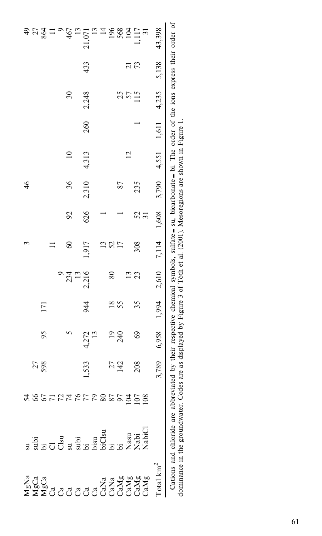|                                                   |                                                                                                                                                                    |                      |              |                                                                                                                                  |                           |       | 3               |                 | $\frac{4}{6}$ |                |     |                                         |                 |                            |
|---------------------------------------------------|--------------------------------------------------------------------------------------------------------------------------------------------------------------------|----------------------|--------------|----------------------------------------------------------------------------------------------------------------------------------|---------------------------|-------|-----------------|-----------------|---------------|----------------|-----|-----------------------------------------|-----------------|----------------------------|
|                                                   |                                                                                                                                                                    |                      | 27           |                                                                                                                                  |                           |       |                 |                 |               |                |     |                                         |                 |                            |
|                                                   |                                                                                                                                                                    |                      | 598          | 95                                                                                                                               | 171                       |       |                 |                 |               |                |     |                                         |                 | $322$ =                    |
|                                                   |                                                                                                                                                                    |                      |              |                                                                                                                                  |                           |       |                 |                 |               |                |     |                                         |                 |                            |
|                                                   |                                                                                                                                                                    | 80077777788900024809 |              |                                                                                                                                  |                           |       |                 |                 |               |                |     |                                         |                 | $\circ$                    |
|                                                   |                                                                                                                                                                    |                      |              |                                                                                                                                  |                           | 234   | $\infty$        | $\mathcal{S}$   | 36            |                |     | $\overline{\mathcal{E}}$                |                 |                            |
|                                                   |                                                                                                                                                                    |                      |              |                                                                                                                                  |                           | 13    |                 |                 |               |                |     |                                         |                 |                            |
|                                                   |                                                                                                                                                                    |                      | 533          | 4,272                                                                                                                            | 944                       | 2,216 | 1,917           | 626             | 2,310         | 4,313          | 260 | 2,248                                   | 433             | $\frac{467}{13}$<br>21,071 |
|                                                   |                                                                                                                                                                    |                      |              | $\frac{13}{2}$                                                                                                                   |                           |       |                 |                 |               |                |     |                                         |                 | $\frac{13}{2}$             |
|                                                   |                                                                                                                                                                    |                      |              |                                                                                                                                  |                           |       |                 |                 |               |                |     |                                         |                 | 1882                       |
|                                                   |                                                                                                                                                                    |                      | $27$<br>$42$ |                                                                                                                                  | $\frac{8}{18}$            | 80    | 13 <sub>2</sub> |                 |               |                |     |                                         |                 |                            |
|                                                   |                                                                                                                                                                    |                      |              | $^{240}_{240}$                                                                                                                   | 55                        |       | 17              |                 | 87            |                |     |                                         |                 |                            |
|                                                   |                                                                                                                                                                    |                      |              |                                                                                                                                  |                           | 13    |                 |                 |               | $\overline{2}$ |     | 25<br>57                                | $\frac{21}{73}$ |                            |
|                                                   |                                                                                                                                                                    |                      | 208          | 69                                                                                                                               | 35                        | 23    | 308             |                 | 235           |                |     | $\overline{115}$                        |                 | ,117                       |
| <b>Nada<br/>Nada XIXIXIXI</b><br>XIXICOCOCOCOCOCO | ន ដឹង ក្នុង<br>ការប្រាសាទ្ធ និង ការប្រាសាទ្ធ<br>ការប្រាសាទ្ធ និង ការប្រាសាទ្ធ និង ការប្រា                                                                          |                      |              |                                                                                                                                  |                           |       |                 | $\frac{52}{31}$ |               |                |     |                                         |                 | $\overline{31}$            |
| $\text{Total km}^2$                               |                                                                                                                                                                    |                      | 789          |                                                                                                                                  | $6,958$ 1,994 2,610 7,114 |       |                 |                 |               |                |     | $1,608$ $3,790$ $4,551$ $1,611$ $4,235$ | 5,138           | 43,398                     |
|                                                   | dominance in the groundwater. Codes are as displayed by Figure 3 of Tóth et al. (2001). Mesoregions are shown in Figure 1.<br>Cations and chloride are abbreviated |                      |              | by their respective chemical symbols, sulfate $\equiv$ su, bicarbonate $\equiv$ bi. The order of the ions express their order of |                           |       |                 |                 |               |                |     |                                         |                 |                            |

dominance in the groundwater. Codes are as displayed by Figure 3 of Tóth et al. (2001). Mesoregions are shown in Figure 1.<br>.

61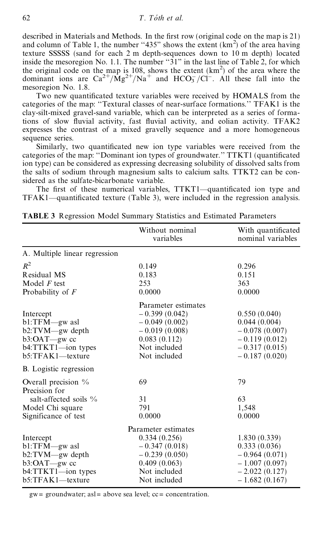described in Materials and Methods. In the first row (original code on the map is 21) and column of Table 1, the number "435" shows the extent  $(km^2)$  of the area having texture SSSSS (sand for each 2 m depth-sequences down to 10 m depth) located inside the mesoregion No. 1.1. The number  $"31"$  in the last line of Table 2, for which the original code on the map is 108, shows the extent  $(km<sup>2</sup>)$  of the area where the dominant ions are  $Ca^{2+}/Mg^{2+}/Na^{+}$  and  $HCO<sub>3</sub>/Cl^{-}$ . All these fall into the mesoregion No. 1.8.

Two new quantificated texture variables were received by HOMALS from the categories of the map: "Textural classes of near-surface formations." TFAK1 is the clay-silt-mixed gravel-sand variable, which can be interpreted as a series of formations of slow fluvial activity, fast fluvial activity, and eolian activity. TFAK2 expresses the contrast of a mixed gravelly sequence and a more homogeneous sequence series.

Similarly, two quantificated new ion type variables were received from the categories of the map: "Dominant ion types of groundwater."  $TTKT1$  (quantificated ion type) can be considered as expressing decreasing solubility of dissolved salts from the salts of sodium through magnesium salts to calcium salts. TTKT2 can be considered as the sulfate-bicarbonate variable.

The first of these numerical variables, TTKT1—quantificated ion type and  $TFAK1—quantificated texture (Table 3), were included in the regression analysis.$ 

|                               | Without nominal<br>variables | With quantificated<br>nominal variables |
|-------------------------------|------------------------------|-----------------------------------------|
| A. Multiple linear regression |                              |                                         |
| $R^2$                         | 0.149                        | 0.296                                   |
| Residual MS                   | 0.183                        | 0.151                                   |
| Model $F$ test                | 253                          | 363                                     |
| Probability of $F$            | 0.0000                       | 0.0000                                  |
|                               | Parameter estimates          |                                         |
| Intercept                     | $-0.399(0.042)$              | 0.550(0.040)                            |
| $bl:TFM$ gw asl               | $-0.049(0.002)$              | 0.044(0.004)                            |
| $b2: TVM$ -gw depth           | $-0.019(0.008)$              | $-0.078(0.007)$                         |
| b3:OAT-gw cc                  | 0.083(0.112)                 | $-0.119(0.012)$                         |
| b4:TTKT1-ion types            | Not included                 | $-0.317(0.015)$                         |
| b5:TFAK1-texture              | Not included                 | $-0.187(0.020)$                         |
| B. Logistic regression        |                              |                                         |
| Overall precision $\%$        | 69                           | 79                                      |
| Precision for                 |                              |                                         |
| salt-affected soils %         | 31                           | 63                                      |
| Model Chi square              | 791                          | 1,548                                   |
| Significance of test          | 0.0000                       | 0.0000                                  |
|                               | Parameter estimates          |                                         |
| Intercept                     | 0.334(0.256)                 | 1.830(0.339)                            |
| $bl:TFM$ asl                  | $-0.347(0.018)$              | 0.333(0.036)                            |
| b2:TVM-gw depth               | $-0.239(0.050)$              | $-0.964(0.071)$                         |
| $b3:OAT$ gw cc                | 0.409(0.063)                 | $-1.007(0.097)$                         |
| $b4:TTKT1$ -ion types         | Not included                 | $-2.022(0.127)$                         |
| b5:TFAK1-texture              | Not included                 | $-1.682(0.167)$                         |

**TABLE 3** Regression Model Summary Statistics and Estimated Parameters

 $gw =$  groundwater; as  $l =$  above sea level;  $cc =$  concentration.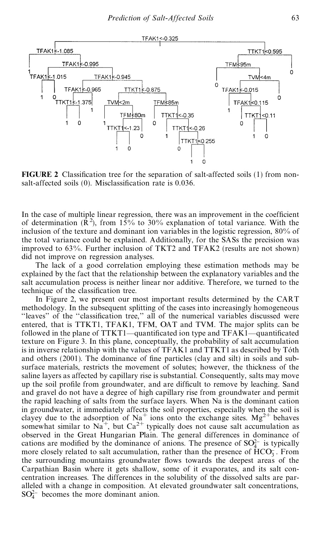

**FIGURE 2** Classification tree for the separation of salt-affected soils  $(1)$  from nonsalt-affected soils  $(0)$ . Misclassification rate is 0.036.

In the case of multiple linear regression, there was an improvement in the coefficient of determination  $(R^2)$ , from 15% to 30% explanation of total variance. With the inclusion of the texture and dominant ion variables in the logistic regression, 80% of the total variance could be explained. Additionally, for the SASs the precision was improved to 63%. Further inclusion of TKT2 and TFAK2 (results are not shown) did not improve on regression analyses.

The lack of a good correlation employing these estimation methods may be explained by the fact that the relationship between the explanatory variables and the salt accumulation process is neither linear nor additive. Therefore, we turned to the technique of the classification tree.

In Figure 2, we present our most important results determined by the CART methodology. In the subsequent splitting of the cases into increasingly homogeneous ``leaves'' of the ``classi®cation tree,' ' all of the numerical variables discussed were entered, that is TTKT1, TFAK1, TFM, OAT and TVM. The major splits can be followed in the plane of  $TTKT1$ —quantificated ion type and  $TFAK1$ —quantificated texture on Figure 3. In this plane, conceptually, the probability of salt accumulation is in inverse relationship with the values of  $TFAK1$  and  $TTKT1$  as described by Tóth and others  $(2001)$ . The dominance of fine particles (clay and silt) in soils and subsurface materials, restricts the movement of solutes; however, the thickness of the saline layers as affected by capillary rise is substantial. Consequently, salts may move up the soil profile from groundwater, and are difficult to remove by leaching. Sand and gravel do not have a degree of high capillary rise from groundwater and permit the rapid leaching of salts from the surface layers. When Na is the dominant cation in groundwater, it immediately affects the soil properties, especially when the soil is clayey due to the adsorption of  $Na<sup>+</sup>$  ions onto the exchange sites.  $Mg<sup>2+</sup>$  behaves somewhat similar to  $\text{Na}^+$ , but  $\text{Ca}^{2+}$  typically does not cause salt accumulation as observed in the Great Hungarian Plain. The general differences in dominance of cations are modified by the dominance of anions. The presence of  $SO_4^{2-}$  is typically more closely related to salt accumulation, rather than the presence of  $HCO<sub>3</sub>$ . From the surrounding mountains groundwater flows towards the deepest areas of the Carpathian Basin where it gets shallow, some of it evaporates, and its salt concentration increases. The differences in the solubility of the dissolved salts are paralleled with a change in composition. At elevated groundwater salt concentrations,  $SO_4^{2-}$  becomes the more dominant anion.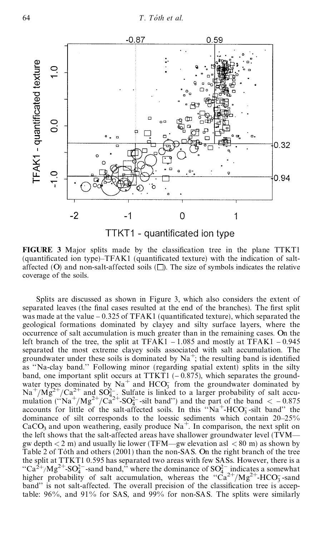

**FIGURE** 3 Major splits made by the classification tree in the plane TTKT1 (quantificated ion type) $-TFAK1$  (quantificated texture) with the indication of saltaffected (O) and non-salt-affected soils  $\Box$ ). The size of symbols indicates the relative coverage of the soils.

Splits are discussed as shown in Figure 3, which also considers the extent of separated leaves (the final cases resulted at the end of the branches). The first split was made at the value  $-0.325$  of TFAK1 (quantificated texture), which separated the geological formations dominated by clayey and silty surface layers, where the occurrence of salt accumulation is much greater than in the remaining cases. On the left branch of the tree, the split at TFAK1  $-1.085$  and mostly at TFAK1  $-0.945$ separated the most extreme clayey soils associated with salt accumulation. The groundwater under these soils is dominated by  $Na^+$ ; the resulting band is identified as "Na-clay band." Following minor (regarding spatial extent) splits in the silty band, one important split occurs at TTKT1  $(-0.875)$ , which separates the groundwater types dominated by  $Na^+$  and  $HCO_3^-$  from the groundwater dominated by  $\text{Na}^+/\text{Mg}^{2+}/\text{Ca}^{2+}$  and  $\text{SO}_{4}^2$ . Sulfate is linked to a larger probability of salt accumulation ( $\cdot \text{Na}^+/\text{Mg}^{2+}/\text{Ca}^{2+}$ -SO<sub>4</sub><sup>-</sup>-silt band'') and the part of the band  $<-0.875$ accounts for little of the salt-affected soils. In this " $Na^+$ -HCO<sub>3</sub>-silt band" the dominance of silt corresponds to the loessic sediments which contain  $20-25%$ CaCO<sub>3</sub> and upon weathering, easily produce  $\text{Na}^+$ . In comparison, the next split on the left shows that the salt-affected areas have shallower groundwater level (TVMgw depth  $\leq 2$  m) and usually lie lower (TFM—gw elevation asl  $\leq 80$  m) as shown by Table 2 of Tóth and others  $(2001)$  than the non-SAS. On the right branch of the tree the split at TTKT1 0.595 has separated two areas with few SASs. However, there is a "Ca<sup>2+</sup>/Mg<sup>2+</sup>-SO<sub>4</sub><sup>-</sup>-sand band," where the dominance of SO<sub>4</sub><sup>-</sup> indicates a somewhat higher probability of salt accumulation, whereas the  $Ca^{2+}/Mg^{2+}$ -HCO<sub>3</sub>-sand band" is not salt-affected. The overall precision of the classification tree is acceptable: 96%, and 91% for SAS, and 99% for non-SAS. The splits were similarly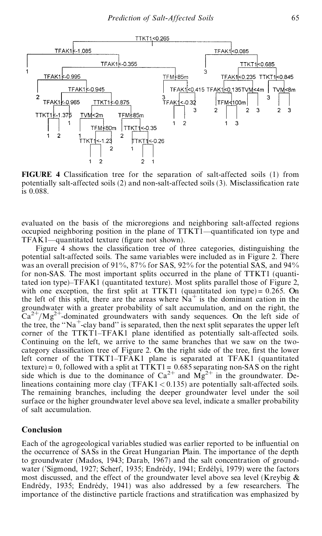

**FIGURE** 4 Classification tree for the separation of salt-affected soils (1) from potentially salt-affected soils  $(2)$  and non-salt-affected soils  $(3)$ . Misclassification rate is 0.088.

evaluated on the basis of the microregions and neighboring salt-affected regions occupied neighboring position in the plane of TTKT1—quantificated ion type and  $TFAK1$ —quantitated texture (figure not shown).

Figure 4 shows the classification tree of three categories, distinguishing the potential salt-affected soils. The same variables were included as in Figure 2. There was an overall precision of 91%, 87% for SAS, 92% for the potential SAS, and 94% for non-SAS. The most important splits occurred in the plane of TTKT1 (quantitated ion type $-TFAK1$  (quantitated texture). Most splits parallel those of Figure 2, with one exception, the first split at TTKT1 (quantitated ion type) =  $0.265$ . On the left of this split, there are the areas where  $Na<sup>+</sup>$  is the dominant cation in the groundwater with a greater probability of salt accumulation, and on the right, the  $Ca^{2+}/Mg^{2+}$ -dominated groundwaters with sandy sequences. On the left side of the tree, the "Na<sup>+</sup>-clay band" is separated, then the next split separates the upper left corner of the TTKT1–TFAK1 plane identified as potentially salt-affected soils. Continuing on the left, we arrive to the same branches that we saw on the twocategory classification tree of Figure 2. On the right side of the tree, first the lower left corner of the TTKT1–TFAK1 plane is separated at TFAK1 (quantitated texture) = 0, followed with a split at TTKT1 = 0.685 separating non-SAS on the right side which is due to the dominance of  $Ca^{2+}$  and  $Mg^{2+}$  in the groundwater. Delineations containing more clay (TFAK1 < 0.135) are potentially salt-affected soils. The remaining branches, including the deeper groundwater level under the soil surface or the higher groundwater level above sea level, indicate a smaller probability of salt accumulation.

#### **Conclusion**

Each of the agrogeological variables studied was earlier reported to be influential on the occurrence of SASs in the Great Hungarian Plain. The importance of the depth to groundwater (Mados, 1943; Darab, 1967) and the salt concentration of groundwater ('Sigmond, 1927; Scherf, 1935; Endrédy, 1941; Erdélyi, 1979) were the factors most discussed, and the effect of the groundwater level above sea level (Kreybig  $\&$ Endrédy, 1935; Endrédy, 1941) was also addressed by a few researchers. The importance of the distinctive particle fractions and stratification was emphasized by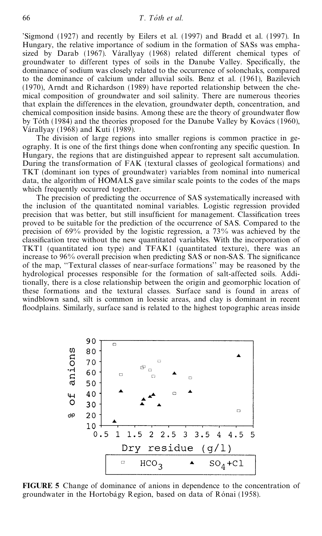'Sigmond (1927) and recently by Eilers et al. (1997) and Bradd et al. (1997). In Hungary, the relative importance of sodium in the formation of SASs was emphasized by Darab (1967). Várallyay (1968) related different chemical types of groundwater to different types of soils in the Danube Valley. Specifically, the dominance of sodium was closely related to the occurrence of solonchaks, compared to the dominance of calcium under alluvial soils. Benz et al. (1961), Bazilevich (1970), Arndt and Richardson (1989) have reported relationship between the chemical composition of groundwater and soil salinity. There are numerous theories that explain the differences in the elevation, groundwater depth, concentration, and chemical composition inside basins. Among these are the theory of groundwater flow by Tóth (1984) and the theories proposed for the Danube Valley by Kovács (1960), Várallyay (1968) and Kuti (1989).

The division of large regions into smaller regions is common practice in geography. It is one of the first things done when confronting any specific question. In Hungary, the regions that are distinguished appear to represent salt accumulation. During the transformation of FAK (textural classes of geological formations) and TKT (dominant ion types of groundwater) variables from nominal into numerical data, the algorithm of HOMALS gave similar scale points to the codes of the maps which frequently occurred together.

The precision of predicting the occurrence of SAS systematically increased with the inclusion of the quantitated nominal variables. Logistic regression provided precision that was better, but still insufficient for management. Classification trees proved to be suitable for the prediction of the occurrence of SAS. Compared to the precision of 69% provided by the logistic regression, a 73% was achieved by the classification tree without the new quantitated variables. With the incorporation of TKT1 (quantitated ion type) and TFAK1 (quantitated texture), there was an increase to  $96\%$  overall precision when predicting SAS or non-SAS. The significance of the map, ``Textural classes of near-surface formations' ' may be reasoned by the hydrological processes responsible for the formation of salt-affected soils. Additionally, there is a close relationship between the origin and geomorphic location of these formations and the textural classes. Surface sand is found in areas of windblown sand, silt is common in loessic areas, and clay is dominant in recent floodplains. Similarly, surface sand is related to the highest topographic areas inside



**FIGURE 5** Change of dominance of anions in dependence to the concentration of groundwater in the Hortobágy Region, based on data of Rónai (1958).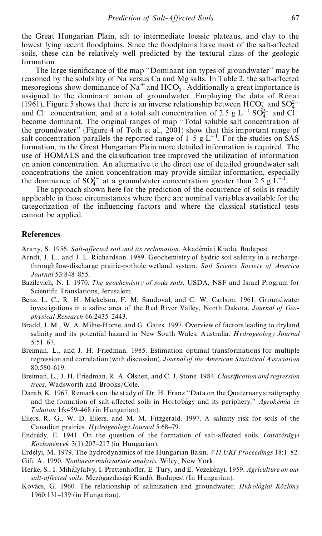the Great Hungarian Plain, silt to intermediate loessic plateaus, and clay to the lowest lying recent floodplains. Since the floodplains have most of the salt-affected soils, these can be relatively well predicted by the textural class of the geologic formation.

The large significance of the map "Dominant ion types of groundwater" may be reasoned by the solubility of Na versus Ca and Mg salts. In Table 2, the salt-affected mesoregions show dominance of  $\text{Na}^+$  and  $\text{HCO}_3^-$ . Additionally a great importance is assigned to the dominant anion of groundwater. Employing the data of Rónai (1961), Figure 5 shows that there is an inverse relationship between  $HCO_3^-$  and  $SO_4^{2-}$ and Cl<sup>-</sup> concentration, and at a total salt concentration of 2.5 g  $L^{-1}$  SO<sub>4</sub><sup>2</sup>- and Cl<sup>-</sup> become dominant. The original ranges of map "Total soluble salt concentration of the groundwater'' (Figure 4 of Toth et al., 2001) show that this important range of salt concentration parallels the reported range of  $1-5$  g  $L^{-1}$ . For the studies on SAS formation, in the Great Hungarian Plain more detailed information is required. The use of HOMALS and the classification tree improved the utilization of information on anion concentration. An alternative to the direct use of detailed groundwater salt concentrations the anion concentration may provide similar information, especially the dominance of  $SO_4^{2-}$  at a groundwater concentration greater than 2.5 g L<sup>-1</sup>.

The approach shown here for the prediction of the occurrence of soils is readily applicable in those circumstances where there are nominal variables available for the categorization of the influencing factors and where the classical statistical tests cannot be applied.

#### **References**

Arany, S. 1956. Salt-affected soil and its reclamation. Akadémiai Kiadó, Budapest.

- Arndt, J. L., and J. L. Richardson. 1989. Geochemistry of hydric soil salinity in a rechargethrough¯ ow-discharge prairie-pothole wetland system. *Soil Science Society of America Journal* 53:848-855.
- Bazilevich, N. I. 1970. *The geochemistry of soda soils*. USDA, NSF and Israel Program for Scientific Translations, Jerusalem.
- Benz, L. C., R. H. Mickelson, F. M. Sandoval, and C. W. Carlson. 1961. Groundwater investigations in a saline area of the Red River Valley, North Dakota. *Journal of Geophysical Research* 66:2435-2443.
- Bradd, J. M., W. A. Milne-Home, and G. Gates. 1997. Overview of factors leading to dryland salinity and its potential hazard in New South Wales, Australia. *Hydrogeology Journal* 5:51-67.
- Breiman, L., and J. H. Friedman. 1985. Estimation optimal transformations for multiple regression and correlation (with discussion). *Journal of the American Statistical Association* 80:580±619.
- Breiman, L., J. H. Friedman, R. A. Olshen, and C. J. Stone. 1984. *Classification and regression* trees. Wadsworth and Brooks/Cole.
- Darab, K. 1967. Remarks on the study of Dr. H. Franz "Data on the Quaternary stratigraphy and the formation of salt-affected soils in Hortobagy and its periphery." *Agrokemia es Talajtan* 16:459±468 (in Hungarian).
- Eilers, R. G., W. D. Eilers, and M. M. Fitzgerald. 1997. A salinity risk for soils of the Canadian prairies. *Hydrogeology Journal* 5:68-79.
- Endrédy, E. 1941. On the question of the formation of salt-affected soils. *Ontozésugyi KoÈzlemeÂ nyek* 3(1):207±217 (in Hungarian).
- Erdélyi, M. 1979. The hydrodynamics of the Hungarian Basin. *VITUKI Proceedings* 18:1–82. Gifi, A. 1990. *Nonlinear multivariate analysis*. Wiley, New York.
- Herke, S., I. Mihályfalvy, I. Prettenhoffer, E. Tury, and E. Vezekényi. 1959. *Agriculture on our*  $salt\text{-}affected soils$ . Mezõgazdasági Kiadó, Budapest (In Hungarian).
- Kovács, G. 1960. The relationship of salinization and groundwater. *Hidrológiai Közlöny* 1960:131±139 (in Hungarian).